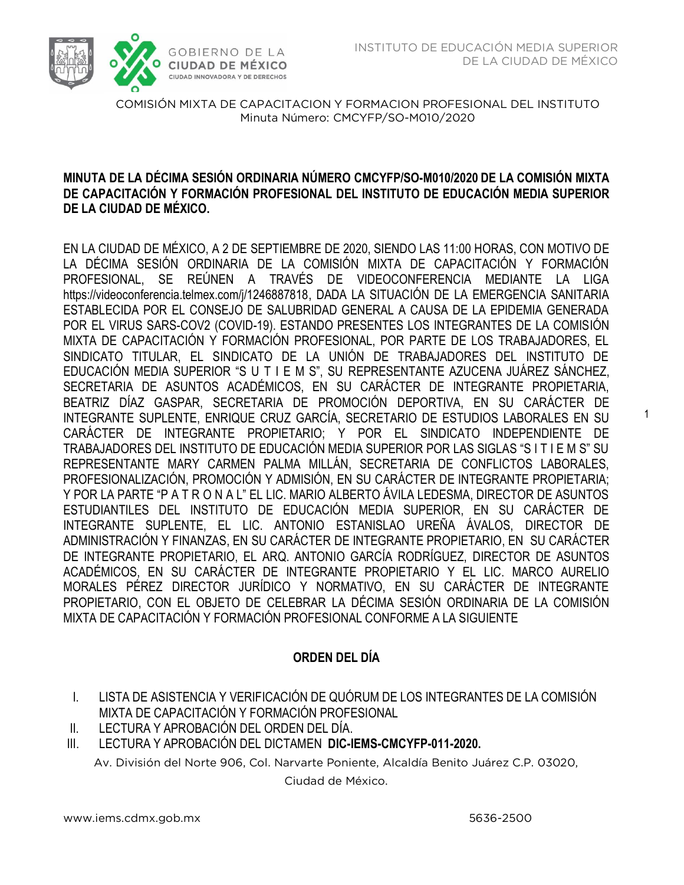

# **MINUTA DE LA DÉCIMA SESIÓN ORDINARIA NÚMERO CMCYFP/SO-M010/2020 DE LA COMISIÓN MIXTA DE CAPACITACIÓN Y FORMACIÓN PROFESIONAL DEL INSTITUTO DE EDUCACIÓN MEDIA SUPERIOR DE LA CIUDAD DE MÉXICO.**

EN LA CIUDAD DE MÉXICO, A 2 DE SEPTIEMBRE DE 2020, SIENDO LAS 11:00 HORAS, CON MOTIVO DE LA DÉCIMA SESIÓN ORDINARIA DE LA COMISIÓN MIXTA DE CAPACITACIÓN Y FORMACIÓN PROFESIONAL, SE REÚNEN A TRAVÉS DE VIDEOCONFERENCIA MEDIANTE LA LIGA https://videoconferencia.telmex.com/j/1246887818, DADA LA SITUACIÓN DE LA EMERGENCIA SANITARIA ESTABLECIDA POR EL CONSEJO DE SALUBRIDAD GENERAL A CAUSA DE LA EPIDEMIA GENERADA POR EL VIRUS SARS-COV2 (COVID-19). ESTANDO PRESENTES LOS INTEGRANTES DE LA COMISIÓN MIXTA DE CAPACITACIÓN Y FORMACIÓN PROFESIONAL, POR PARTE DE LOS TRABAJADORES, EL SINDICATO TITULAR, EL SINDICATO DE LA UNIÓN DE TRABAJADORES DEL INSTITUTO DE EDUCACIÓN MEDIA SUPERIOR "S U T I E M S", SU REPRESENTANTE AZUCENA JUÁREZ SÁNCHEZ, SECRETARIA DE ASUNTOS ACADÉMICOS, EN SU CARÁCTER DE INTEGRANTE PROPIETARIA, BEATRIZ DÍAZ GASPAR, SECRETARIA DE PROMOCIÓN DEPORTIVA, EN SU CARÁCTER DE INTEGRANTE SUPLENTE, ENRIQUE CRUZ GARCÍA, SECRETARIO DE ESTUDIOS LABORALES EN SU CARÁCTER DE INTEGRANTE PROPIETARIO; Y POR EL SINDICATO INDEPENDIENTE DE TRABAJADORES DEL INSTITUTO DE EDUCACIÓN MEDIA SUPERIOR POR LAS SIGLAS "S I T I E M S" SU REPRESENTANTE MARY CARMEN PALMA MILLÁN, SECRETARIA DE CONFLICTOS LABORALES, PROFESIONALIZACIÓN, PROMOCIÓN Y ADMISIÓN, EN SU CARÁCTER DE INTEGRANTE PROPIETARIA; Y POR LA PARTE "P A T R O N A L" EL LIC. MARIO ALBERTO ÁVILA LEDESMA, DIRECTOR DE ASUNTOS ESTUDIANTILES DEL INSTITUTO DE EDUCACIÓN MEDIA SUPERIOR, EN SU CARÁCTER DE INTEGRANTE SUPLENTE, EL LIC. ANTONIO ESTANISLAO UREÑA ÁVALOS, DIRECTOR DE ADMINISTRACIÓN Y FINANZAS, EN SU CARÁCTER DE INTEGRANTE PROPIETARIO, EN SU CARÁCTER DE INTEGRANTE PROPIETARIO, EL ARQ. ANTONIO GARCÍA RODRÍGUEZ, DIRECTOR DE ASUNTOS ACADÉMICOS, EN SU CARÁCTER DE INTEGRANTE PROPIETARIO Y EL LIC. MARCO AURELIO MORALES PÉREZ DIRECTOR JURÍDICO Y NORMATIVO, EN SU CARÁCTER DE INTEGRANTE PROPIETARIO, CON EL OBJETO DE CELEBRAR LA DÉCIMA SESIÓN ORDINARIA DE LA COMISIÓN MIXTA DE CAPACITACIÓN Y FORMACIÓN PROFESIONAL CONFORME A LA SIGUIENTE

# **ORDEN DEL DÍA**

- I. LISTA DE ASISTENCIA Y VERIFICACIÓN DE QUÓRUM DE LOS INTEGRANTES DE LA COMISIÓN MIXTA DE CAPACITACIÓN Y FORMACIÓN PROFESIONAL
- II. LECTURA Y APROBACIÓN DEL ORDEN DEL DÍA.
- III. LECTURA Y APROBACIÓN DEL DICTAMEN **DIC-IEMS-CMCYFP-011-2020.**

Av. División del Norte 906, Col. Narvarte Poniente, Alcaldía Benito Juárez C.P. 03020,

Ciudad de México.

1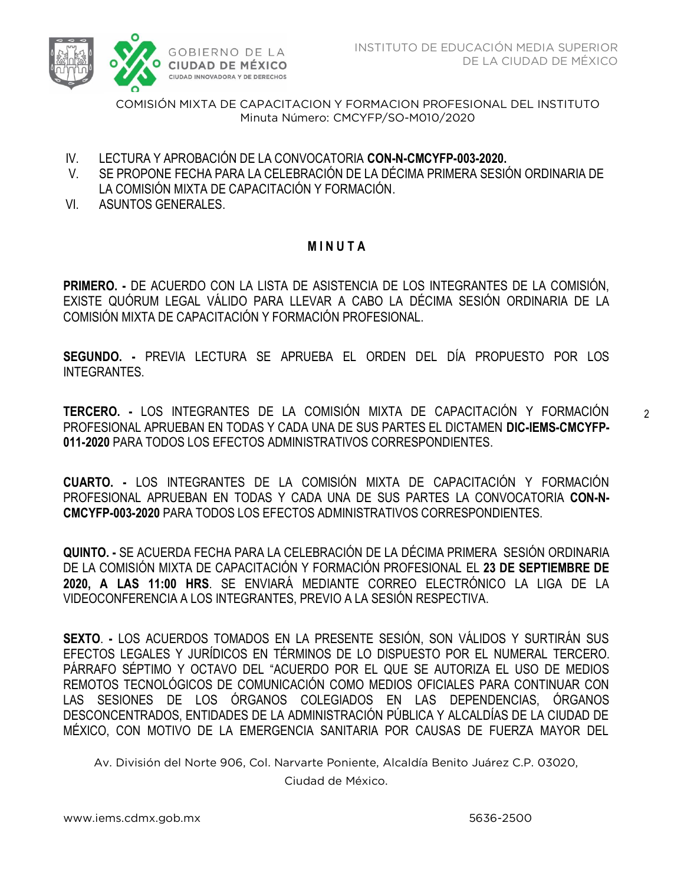

- IV. LECTURA Y APROBACIÓN DE LA CONVOCATORIA **CON-N-CMCYFP-003-2020.**
- V. SE PROPONE FECHA PARA LA CELEBRACIÓN DE LA DÉCIMA PRIMERA SESIÓN ORDINARIA DE LA COMISIÓN MIXTA DE CAPACITACIÓN Y FORMACIÓN.
- VI. ASUNTOS GENERALES.

# **M I N U T A**

**PRIMERO. -** DE ACUERDO CON LA LISTA DE ASISTENCIA DE LOS INTEGRANTES DE LA COMISIÓN, EXISTE QUÓRUM LEGAL VÁLIDO PARA LLEVAR A CABO LA DÉCIMA SESIÓN ORDINARIA DE LA COMISIÓN MIXTA DE CAPACITACIÓN Y FORMACIÓN PROFESIONAL.

**SEGUNDO. -** PREVIA LECTURA SE APRUEBA EL ORDEN DEL DÍA PROPUESTO POR LOS **INTEGRANTES** 

**TERCERO. -** LOS INTEGRANTES DE LA COMISIÓN MIXTA DE CAPACITACIÓN Y FORMACIÓN PROFESIONAL APRUEBAN EN TODAS Y CADA UNA DE SUS PARTES EL DICTAMEN **DIC-IEMS-CMCYFP-011-2020** PARA TODOS LOS EFECTOS ADMINISTRATIVOS CORRESPONDIENTES.

**CUARTO. -** LOS INTEGRANTES DE LA COMISIÓN MIXTA DE CAPACITACIÓN Y FORMACIÓN PROFESIONAL APRUEBAN EN TODAS Y CADA UNA DE SUS PARTES LA CONVOCATORIA **CON-N-CMCYFP-003-2020** PARA TODOS LOS EFECTOS ADMINISTRATIVOS CORRESPONDIENTES.

**QUINTO. -** SE ACUERDA FECHA PARA LA CELEBRACIÓN DE LA DÉCIMA PRIMERA SESIÓN ORDINARIA DE LA COMISIÓN MIXTA DE CAPACITACIÓN Y FORMACIÓN PROFESIONAL EL **23 DE SEPTIEMBRE DE 2020, A LAS 11:00 HRS**. SE ENVIARÁ MEDIANTE CORREO ELECTRÓNICO LA LIGA DE LA VIDEOCONFERENCIA A LOS INTEGRANTES, PREVIO A LA SESIÓN RESPECTIVA.

**SEXTO**. **-** LOS ACUERDOS TOMADOS EN LA PRESENTE SESIÓN, SON VÁLIDOS Y SURTIRÁN SUS EFECTOS LEGALES Y JURÍDICOS EN TÉRMINOS DE LO DISPUESTO POR EL NUMERAL TERCERO. PÁRRAFO SÉPTIMO Y OCTAVO DEL "ACUERDO POR EL QUE SE AUTORIZA EL USO DE MEDIOS REMOTOS TECNOLÓGICOS DE COMUNICACIÓN COMO MEDIOS OFICIALES PARA CONTINUAR CON LAS SESIONES DE LOS ÓRGANOS COLEGIADOS EN LAS DEPENDENCIAS, ÓRGANOS DESCONCENTRADOS, ENTIDADES DE LA ADMINISTRACIÓN PÚBLICA Y ALCALDÍAS DE LA CIUDAD DE MÉXICO, CON MOTIVO DE LA EMERGENCIA SANITARIA POR CAUSAS DE FUERZA MAYOR DEL

Av. División del Norte 906, Col. Narvarte Poniente, Alcaldía Benito Juárez C.P. 03020,

Ciudad de México.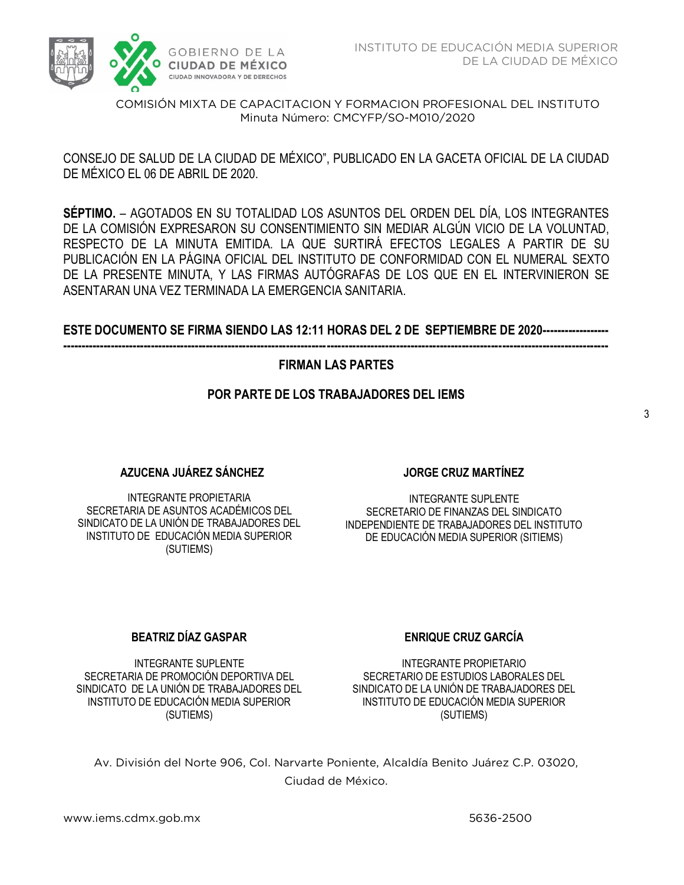

 CONSEJO DE SALUD DE LA CIUDAD DE MÉXICO", PUBLICADO EN LA GACETA OFICIAL DE LA CIUDAD DE MÉXICO EL 06 DE ABRIL DE 2020.

**SÉPTIMO.** – AGOTADOS EN SU TOTALIDAD LOS ASUNTOS DEL ORDEN DEL DÍA, LOS INTEGRANTES DE LA COMISIÓN EXPRESARON SU CONSENTIMIENTO SIN MEDIAR ALGÚN VICIO DE LA VOLUNTAD, RESPECTO DE LA MINUTA EMITIDA. LA QUE SURTIRÁ EFECTOS LEGALES A PARTIR DE SU PUBLICACIÓN EN LA PÁGINA OFICIAL DEL INSTITUTO DE CONFORMIDAD CON EL NUMERAL SEXTO DE LA PRESENTE MINUTA, Y LAS FIRMAS AUTÓGRAFAS DE LOS QUE EN EL INTERVINIERON SE ASENTARAN UNA VEZ TERMINADA LA EMERGENCIA SANITARIA.

# **ESTE DOCUMENTO SE FIRMA SIENDO LAS 12:11 HORAS DEL 2 DE SEPTIEMBRE DE 2020------------------ -----------------------------------------------------------------------------------------------------------------------------------------------------**

# **FIRMAN LAS PARTES**

## **POR PARTE DE LOS TRABAJADORES DEL IEMS**

### **AZUCENA JUÁREZ SÁNCHEZ**

INTEGRANTE PROPIETARIA SECRETARIA DE ASUNTOS ACADÉMICOS DEL SINDICATO DE LA UNIÓN DE TRABAJADORES DEL INSTITUTO DE EDUCACIÓN MEDIA SUPERIOR (SUTIEMS)

### **JORGE CRUZ MARTÍNEZ**

INTEGRANTE SUPLENTE SECRETARIO DE FINANZAS DEL SINDICATO INDEPENDIENTE DE TRABAJADORES DEL INSTITUTO DE EDUCACIÓN MEDIA SUPERIOR (SITIEMS)

### **BEATRIZ DÍAZ GASPAR**

INTEGRANTE SUPLENTE SECRETARIA DE PROMOCIÓN DEPORTIVA DEL SINDICATO DE LA UNIÓN DE TRABAJADORES DEL INSTITUTO DE EDUCACIÓN MEDIA SUPERIOR (SUTIEMS)

# **ENRIQUE CRUZ GARCÍA**

INTEGRANTE PROPIETARIO SECRETARIO DE ESTUDIOS LABORALES DEL SINDICATO DE LA UNIÓN DE TRABAJADORES DEL INSTITUTO DE EDUCACIÓN MEDIA SUPERIOR (SUTIEMS)

Av. División del Norte 906, Col. Narvarte Poniente, Alcaldía Benito Juárez C.P. 03020, Ciudad de México.